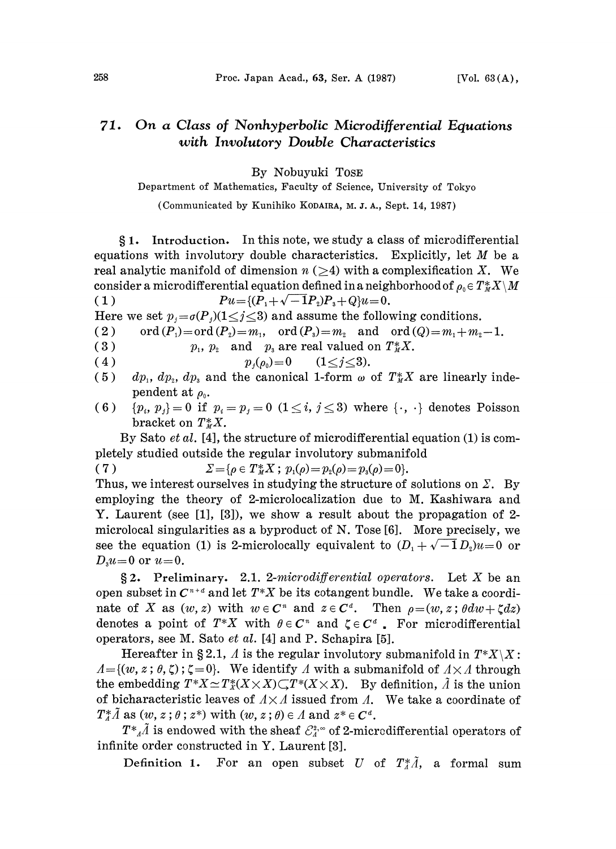## On a Class of Nonhyperbolic Microdifferential Equations 71. with Involutory Double Characteristics

By Nobuyuki TOSE

Department of Mathematics, Faculty of Science., University of Tokyo

(Communicated by Kunihiko KODAIRA, M. J. A., Sept. 14, 1987)

**81.** Introduction. In this note, we study a class of microdifferential equations with involutory double characteristics. Explicitly, let  $M$  be a real analytic manifold of dimension  $n \geq 4$ ) with a complexification X. We consider a microdifferential equation defined in a neighborhood of  $\rho_0 \in T^*_M X \setminus M$ <br>(1)  $Pu = \{(P_1 + \sqrt{-1}P_2)P_3 + Q\}u = 0.$  $Pu = \{ (P_1 + \sqrt{-1}P_2)P_3 + Q \}u = 0.$ 

Here we set  $p_i = \sigma(P_i)(1 \leq i \leq 3)$  and assume the following conditions.

(2) ord  $(P_1)=ord(P_2)=m_1$ , ord  $(P_3)=m_2$  and ord  $(Q)=m_1+m_2-1$ .

- (2)  $\text{ord}(T_1) = \text{ord}(T_2) = m_1$ ,  $\text{ord}(T_3) = m_2$  and  $\text{ord}(T_4)$ <br>
(3)  $p_1, p_2 \text{ and } p_3 \text{ are real valued on } T_M^*X$ .<br>
(4)  $p_j(\rho_0) = 0 \quad (1 \le j \le 3)$ .
- 
- (5)  $dp_1, dp_2, dp_3$  and the canonical 1-form  $\omega$  of  $T_M^*X$  are linearly independent at  $\rho_{0}$ .
- (6)  ${p_i, p_j}=0$  if  $p_i = p_j = 0$   $(1 \leq i, j \leq 3)$  where  ${\{\cdot, \cdot\}}$  denotes Poisson bracket on  $T^*_{M}X$ .

By Sato *et al.* [4], the structure of microdifferential equation (1) is completely studied outside the regular involutory submanifold

 $(7)$  $\Sigma = \{ \rho \in T^*_M X \; ; \; p_1(\rho) = p_2(\rho) = p_3(\rho) = 0 \}.$ 

Thus, we interest ourselves in studying the structure of solutions on  $\Sigma$ . By employing the theory of 2-microlocalization due to M. Kashiwara and Y. Laurent (see [1], [3]), we show a result about the propagation of 2 microlocal singularities as a byproduct of N. Tose [6]. More precisely, we see the equation (1) is 2-microlocally equivalent to  $(D_1 + \sqrt{-1}D_2)u=0$  or  $D_{\nu}u=0$  or  $u=0$ .

 $\S 2$ . Preliminary. 2.1. 2-microdifferential operators. Let X be an open subset in  $C^{n+d}$  and let  $T^*X$  be its cotangent bundle. We take a coordinate of X as  $(w, z)$  with  $w \in \mathbb{C}^n$  and  $z \in \mathbb{C}^d$ . Then  $\rho = (w, z; \theta dw + \zeta dz)$ denotes a point of  $T^*X$  with  $\theta \in \mathbb{C}^n$  and  $\zeta \in \mathbb{C}^d$ . For microdifferential operators, see M. Sato et al. [4] and P. Schapira [5].

Hereafter in §2.1,  $\Lambda$  is the regular involutory submanifold in  $T^*X\setminus X$ :  $A=\{(w, z; \theta, \zeta)\;\;\;\zeta=0\}$ . We identify A with a submanifold of  $A \times A$  through the embedding  $T^*X \simeq T^*_X(X \times X) \subset T^*(X \times X)$ . By definition,  $\tilde{\Lambda}$  is the union of bicharacteristic leaves of  $A \times A$  issued from  $A$ . We take a coordinate of  $T_A^* \tilde{A}$  as  $(w, z; \theta; z^*)$  with  $(w, z; \theta) \in A$  and  $z^* \in \mathbb{C}^d$ .

 $T^*_{A}$  is endowed with the sheaf  $\mathcal{C}_A^{2,\infty}$  of 2-microdifferential operators of infinite order constructed in Y. Laurent [3].

Definition 1. For an open subset U of  $T_A^*\tilde{A}$ , a formal sum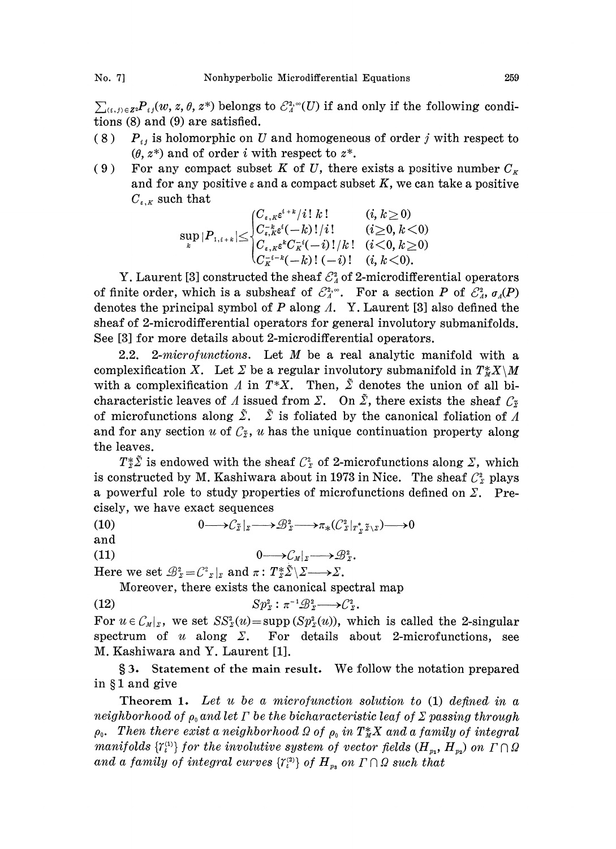$\sum_{(i,j)\in \mathbb{Z}^2}P_{ij}(w, z, \theta, z^*)$  belongs to  $\mathcal{E}_A^{2,\infty}(U)$  if and only if the following conditions (8) and (9) are satisfied.

- (8)  $P_{ij}$  is holomorphic on U and homogeneous of order j with respect to  $(\theta, z^*)$  and of order *i* with respect to  $z^*$ .
- (9) For any compact subset K of U, there exists a positive number  $C_{\kappa}$ and for any positive  $\varepsilon$  and a compact subset K, we can take a positive  $C_{\varepsilon,K}$  such that

sup IP,+l<C:(-)!/i! [C'-( k) (- i) (4 k 0) (>\_o, k<o) (<o, k>\_0) (4 k <0).

Y. Laurent [3] constructed the sheaf  $\mathcal{C}_4^2$  of 2-microdifferential operators of finite order, which is a subsheaf of  $\mathcal{E}_{A}^{2,\infty}$ . For a section P of  $\mathcal{E}_{A}^{2}$ ,  $\sigma_{A}(P)$ denotes the principal symbol of  $P$  along  $\Lambda$ . Y. Laurent [3] also defined the sheaf of 2-microdifferential operators for general involutory submanifolds. See [3] for more details about 2-microdifferential operators.

2.2. 2-microfunctions. Let  $M$  be a real analytic manifold with a complexification X. Let  $\Sigma$  be a regular involutory submanifold in  $T^*X \setminus M$ with a complexification  $\Lambda$  in  $T^*X$ . Then,  $\tilde{\Sigma}$  denotes the union of all bicharacteristic leaves of A issued from  $\Sigma$ . On  $\tilde{\Sigma}$ , there exists the sheaf  $\mathcal{C}_{\tilde{x}}$ of microfunctions along  $\tilde{\Sigma}$ .  $\tilde{\Sigma}$  is foliated by the canonical foliation of A and for any section u of  $\mathcal{C}_{\tilde{x}}$ , u has the unique continuation property along the leaves.

 $T_{\tilde{z}}^*\tilde{\Sigma}$  is endowed with the sheaf  $\mathcal{C}_{\tilde{z}}^*$  of 2-microfunctions along  $\Sigma$ , which is constructed by M. Kashiwara about in 1973 in Nice. The sheaf  $C_{\mathfrak{D}}^2$  plays a powerful role to study properties of microfunctions defined on  $\Sigma$ . Precisely, we have exact sequences

(10)  $0 \longrightarrow C_{\tilde{z}}|_{z} \longrightarrow \mathcal{B}_{z}^{2} \longrightarrow \pi_{*}(C_{z}|_{T^{*}, \tilde{z} \setminus z}) \longrightarrow 0$ 

and

(11)  $0 \longrightarrow \mathcal{C}_M|_{\Sigma} \longrightarrow \mathcal{B}_{\Sigma}^2$ .

Here we set  $\mathcal{B}_z^2 = C^2 z | z$  and  $\pi : T_z^* \tilde{\Sigma} \setminus \Sigma \longrightarrow \Sigma$ .

Moreover, there exists the canonical spectral map

$$
(12) \t\t\t Sp_z^2: \pi^{-1}\mathcal{B}_z^2 \longrightarrow \mathcal{C}_z^2.
$$

For  $u \in \mathcal{C}_{M}|_{z}$ , we set  $SS_{\tilde{z}}^{2}(u)=\text{supp}(Sp_{\tilde{z}}^{2}(u))$ , which is called the 2-singular spectrum of u along  $\Sigma$ . For details about 2-microfunctions, see M. Kashiwara and Y. Laurent [1].

§3. Statement of the main result. We follow the notation prepared in §1 and give

Theorem 1. Let u be a microfunction solution to (1) defined in a neighborhood of  $\rho_0$  and let  $\Gamma$  be the bicharacteristic leaf of  $\Sigma$  passing through  $\rho_0$ . Then there exist a neighborhood  $\Omega$  of  $\rho_0$  in  $T^*_M X$  and a family of integral manifolds  $\{Y_t^{(1)}\}$  for the involutive system of vector fields  $(H_{p_1}, H_{p_2})$  on  $\Gamma \cap \Omega$ and a family of integral curves  $\{ \mathcal{T}_{t}^{(2)} \}$  of  $H_{p_3}$  on  $\Gamma \cap \Omega$  such that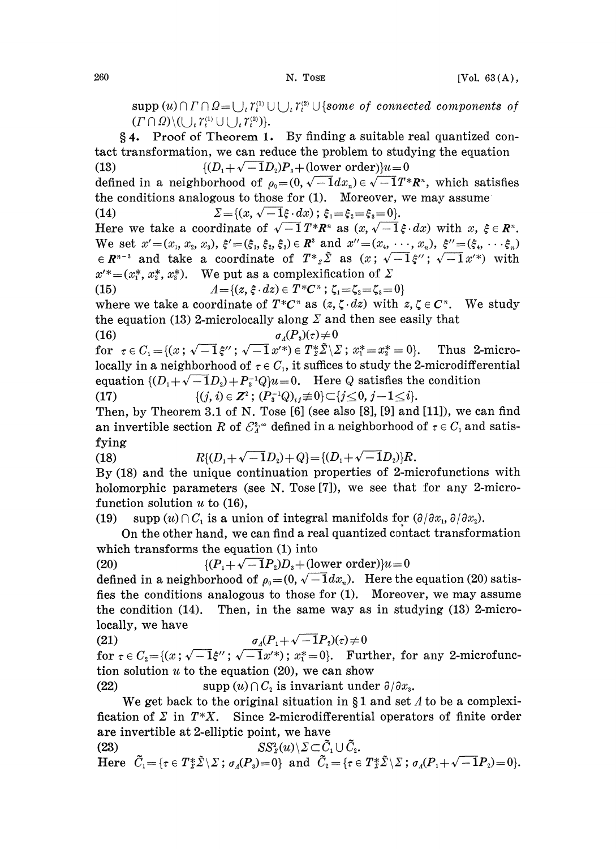$\text{supp}(u) \cap \Gamma \cap \Omega = \bigcup_i \Upsilon_i^{(1)} \cup \bigcup_i \Upsilon_i^{(2)} \cup \{\text{some of connected components of } (\Gamma \cap \Omega) \setminus (\bigcup_i \Upsilon_i^{(1)} \cup \bigcup_i \Upsilon_i^{(2)})\}.$ 

4. Proof of Theorem 1. By finding a suitable real quantized contact transformation, we can reduce the problem to studying the equation (13)  $\{(D_1 + \sqrt{-1}D_2)P_3 + (\text{lower order})\}u = 0$ defined in a neighborhood of  $\rho_0=(0, \sqrt{-1}dx_n) \in \sqrt{-1}T^*R^n$ , which satisfies the conditions analogous to those for (1). Moreover, we may assume (14)  $\Sigma = \{(x, \sqrt{-1}\xi \cdot dx) ; \xi_1 = \xi_2 = \xi_3 = 0\}.$ (14)  $\Sigma = \{(x, \sqrt{-1}\xi \cdot dx) ; \xi_1 = \xi_2 = \xi_3 = 0\}.$ <br>
Here we take a coordinate of  $\sqrt{-1} T^* R^n$  as  $(x, \sqrt{-1}\xi \cdot dx)$  with  $x, \xi \in R^n$ .<br>
We set  $x' = (x_1, x_2, x_3), \xi' = (\xi_1, \xi_2, \xi_3) \in R^3$  and  $x'' = (x_4, \dots, x_n), \xi'' = (\xi_4, \dots, \xi_n)$ <br>  $\in R^{n-3}$ Here we take a coordinate of  $\sqrt{-1} T^* R^n$  as  $(x, \sqrt{-1} \xi \cdot dx)$  with  $x, \xi \in R^n$ .  $\in R^{n-3}$  and take a coordinate of  $T^*_{z} \tilde{\Sigma}$  as  $(x; \sqrt{-1} \xi''; \sqrt{-1} x'^*)$  with  $x'^*=(x_1^*, x_2^*, x_3^*)$ . We put as a complexification of  $\Sigma$ (15)  $A = \{(z, \xi \cdot dz) \in T^*C^n; \zeta_1 = \zeta_2 = \zeta_3 = 0\}$ where we take a coordinate of  $T^*C^n$  as  $(z, \zeta \cdot dz)$  with  $z, \zeta \in C^n$ . We study the equation (13) 2-microlocally along  $\Sigma$  and then see easily that (16)  $\sigma_A(P_3)(\tau) \neq 0$ for  $\tau \in C_1 = \{(x; \sqrt{-1} \xi''; \sqrt{-1} x'^*) \in T^*_{\Sigma} \tilde{\Sigma} \setminus \Sigma; x^* = x^* \} = 0\}.$  Thus 2-microlocally in a neighborhood of  $\tau \in C_1$ , it suffices to study the 2-microdifferential equation  $\{(D_1+\sqrt{-1}D_2)+P_3^{-1}Q\}u=0$ . Here Q satisfies the condition (17)  $\{(j, i) \in \mathbb{Z}^2 \, ; \, (P_{\mathfrak{s}}^{-1}Q)_{ij} \not\equiv 0\} \subset \{j \leq 0, j-1 \leq i\}.$ Then, by Theorem 3.1 of N. Tose  $[6]$  (see also  $[8]$ ,  $[9]$  and  $[11]$ ), we can find an invertible section R of  $\mathcal{E}_A^{2,\infty}$  defined in a neighborhood of  $\tau \in C_1$  and satisfying (18)  $R\{(D_1 + \sqrt{-1}D_2) + Q\} = \{(D_1 + \sqrt{-1}D_2)\}R.$ By (18) and the unique continuation properties of 2-microfunctions with holomorphic parameters (see N. Tose [7]), we see that for any 2-micro-

function solution  $u$  to (16),

(19) supp  $(u) \cap C_1$  is a union of integral manifolds for  $(\partial/\partial x_1, \partial/\partial x_2)$ .

On the other hand, we can find a real quantized contact transformation which transforms the equation (1) into

(20)  $\{(P_1 + \sqrt{-1}P_2)D_3 + (\text{lower order})\}u = 0$ 

defined in a neighborhood of  $\rho_0= (0, \sqrt{-1}dx_n)$ . Here the equation (20) satisfies the conditions analogous to those for (1). Moreover, we may assume the condition (14). Then, in the same way as in studying (13) 2-microlocally, we have

(21)  $\sigma_A(P_1 + \sqrt{-1}P_2)(\tau) \neq 0$ 

for  $\tau \in C_2 = \{(x; \sqrt{-1}\xi''; \sqrt{-1}x'^*)\colon x_1^* = 0\}$ . Further, for any 2-microfunction solution  $u$  to the equation (20), we can show

(22) supp  $(u) \cap C_2$  is invariant under  $\partial/\partial x_3$ .

We get back to the original situation in  $\S 1$  and set  $\Lambda$  to be a complexification of  $\Sigma$  in T\*X. Since 2-microdifferential operators of finite order are invertible at 2-elliptic point, we have

(23) 
$$
SS_z^2(u) \setminus \Sigma \subset \widetilde{C}_1 \cup \widetilde{C}_2.
$$
  
Here  $\widetilde{C}_1 = \{\tau \in T_z^* \widetilde{\Sigma} \setminus \Sigma \; ; \; \sigma_A(P_3) = 0\}$  and  $\widetilde{C}_2 = \{\tau \in T_z^* \widetilde{\Sigma} \setminus \Sigma \; ; \; \sigma_A(P_1 + \sqrt{-1}P_2) = 0\}.$